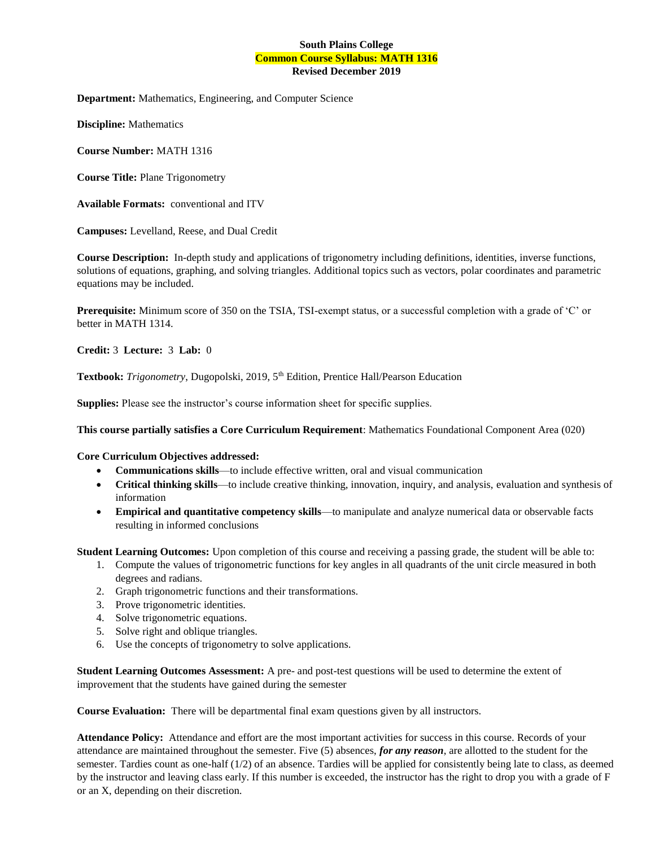# **South Plains College Common Course Syllabus: MATH 1316 Revised December 2019**

**Department:** Mathematics, Engineering, and Computer Science

**Discipline:** Mathematics

**Course Number:** MATH 1316

**Course Title:** Plane Trigonometry

**Available Formats:** conventional and ITV

**Campuses:** Levelland, Reese, and Dual Credit

**Course Description:** In-depth study and applications of trigonometry including definitions, identities, inverse functions, solutions of equations, graphing, and solving triangles. Additional topics such as vectors, polar coordinates and parametric equations may be included.

**Prerequisite:** Minimum score of 350 on the TSIA, TSI-exempt status, or a successful completion with a grade of 'C' or better in MATH 1314.

**Credit:** 3 **Lecture:** 3 **Lab:** 0

Textbook: Trigonometry, Dugopolski, 2019, 5<sup>th</sup> Edition, Prentice Hall/Pearson Education

**Supplies:** Please see the instructor's course information sheet for specific supplies.

**This course partially satisfies a Core Curriculum Requirement**: Mathematics Foundational Component Area (020)

#### **Core Curriculum Objectives addressed:**

- **Communications skills**—to include effective written, oral and visual communication
- **Critical thinking skills**—to include creative thinking, innovation, inquiry, and analysis, evaluation and synthesis of information
- **Empirical and quantitative competency skills**—to manipulate and analyze numerical data or observable facts resulting in informed conclusions

**Student Learning Outcomes:** Upon completion of this course and receiving a passing grade, the student will be able to:

- 1. Compute the values of trigonometric functions for key angles in all quadrants of the unit circle measured in both degrees and radians.
- 2. Graph trigonometric functions and their transformations.
- 3. Prove trigonometric identities.
- 4. Solve trigonometric equations.
- 5. Solve right and oblique triangles.
- 6. Use the concepts of trigonometry to solve applications.

**Student Learning Outcomes Assessment:** A pre- and post-test questions will be used to determine the extent of improvement that the students have gained during the semester

**Course Evaluation:** There will be departmental final exam questions given by all instructors.

**Attendance Policy:** Attendance and effort are the most important activities for success in this course. Records of your attendance are maintained throughout the semester. Five (5) absences, *for any reason*, are allotted to the student for the semester. Tardies count as one-half (1/2) of an absence. Tardies will be applied for consistently being late to class, as deemed by the instructor and leaving class early. If this number is exceeded, the instructor has the right to drop you with a grade of F or an X, depending on their discretion.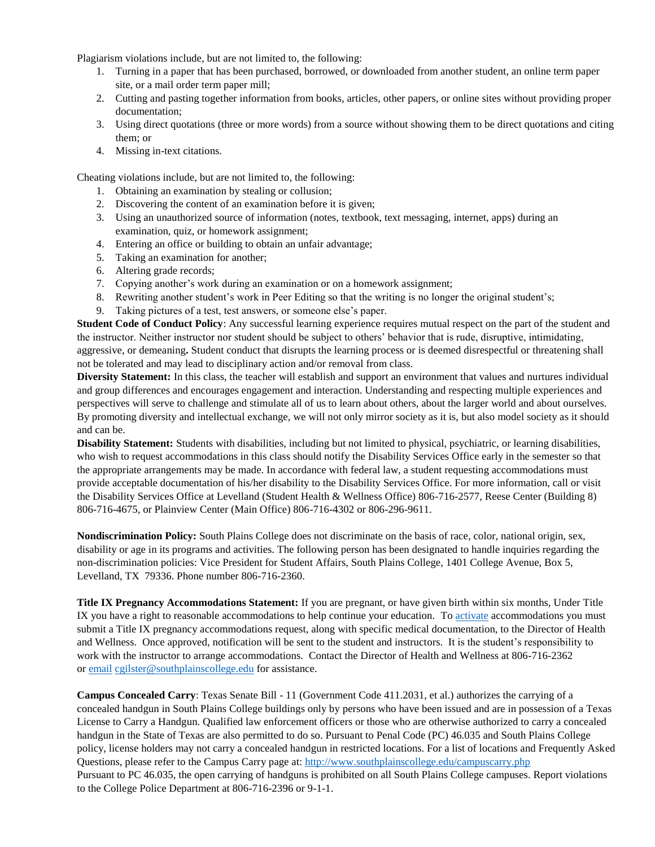Plagiarism violations include, but are not limited to, the following:

- 1. Turning in a paper that has been purchased, borrowed, or downloaded from another student, an online term paper site, or a mail order term paper mill;
- 2. Cutting and pasting together information from books, articles, other papers, or online sites without providing proper documentation;
- 3. Using direct quotations (three or more words) from a source without showing them to be direct quotations and citing them; or
- 4. Missing in-text citations.

Cheating violations include, but are not limited to, the following:

- 1. Obtaining an examination by stealing or collusion;
- 2. Discovering the content of an examination before it is given;
- 3. Using an unauthorized source of information (notes, textbook, text messaging, internet, apps) during an examination, quiz, or homework assignment;
- 4. Entering an office or building to obtain an unfair advantage;
- 5. Taking an examination for another;
- 6. Altering grade records;
- 7. Copying another's work during an examination or on a homework assignment;
- 8. Rewriting another student's work in Peer Editing so that the writing is no longer the original student's;
- 9. Taking pictures of a test, test answers, or someone else's paper.

**Student Code of Conduct Policy**: Any successful learning experience requires mutual respect on the part of the student and the instructor. Neither instructor nor student should be subject to others' behavior that is rude, disruptive, intimidating, aggressive, or demeaning**.** Student conduct that disrupts the learning process or is deemed disrespectful or threatening shall not be tolerated and may lead to disciplinary action and/or removal from class.

**Diversity Statement:** In this class, the teacher will establish and support an environment that values and nurtures individual and group differences and encourages engagement and interaction. Understanding and respecting multiple experiences and perspectives will serve to challenge and stimulate all of us to learn about others, about the larger world and about ourselves. By promoting diversity and intellectual exchange, we will not only mirror society as it is, but also model society as it should and can be.

**Disability Statement:** Students with disabilities, including but not limited to physical, psychiatric, or learning disabilities, who wish to request accommodations in this class should notify the Disability Services Office early in the semester so that the appropriate arrangements may be made. In accordance with federal law, a student requesting accommodations must provide acceptable documentation of his/her disability to the Disability Services Office. For more information, call or visit the Disability Services Office at Levelland (Student Health & Wellness Office) 806-716-2577, Reese Center (Building 8) 806-716-4675, or Plainview Center (Main Office) 806-716-4302 or 806-296-9611.

**Nondiscrimination Policy:** South Plains College does not discriminate on the basis of race, color, national origin, sex, disability or age in its programs and activities. The following person has been designated to handle inquiries regarding the non-discrimination policies: Vice President for Student Affairs, South Plains College, 1401 College Avenue, Box 5, Levelland, TX 79336. Phone number 806-716-2360.

**Title IX Pregnancy Accommodations Statement:** If you are pregnant, or have given birth within six months, Under Title IX you have a right to reasonable accommodations to help continue your education. To [activate](http://www.southplainscollege.edu/employees/manualshandbooks/facultyhandbook/sec4.php) accommodations you must submit a Title IX pregnancy accommodations request, along with specific medical documentation, to the Director of Health and Wellness. Once approved, notification will be sent to the student and instructors. It is the student's responsibility to work with the instructor to arrange accommodations. Contact the Director of Health and Wellness at 806-716-2362 or [email](http://www.southplainscollege.edu/employees/manualshandbooks/facultyhandbook/sec4.php) [cgilster@southplainscollege.edu](mailto:cgilster@southplainscollege.edu) for assistance.

**Campus Concealed Carry**: Texas Senate Bill - 11 (Government Code 411.2031, et al.) authorizes the carrying of a concealed handgun in South Plains College buildings only by persons who have been issued and are in possession of a Texas License to Carry a Handgun. Qualified law enforcement officers or those who are otherwise authorized to carry a concealed handgun in the State of Texas are also permitted to do so. Pursuant to Penal Code (PC) 46.035 and South Plains College policy, license holders may not carry a concealed handgun in restricted locations. For a list of locations and Frequently Asked Questions, please refer to the Campus Carry page at: <http://www.southplainscollege.edu/campuscarry.php> Pursuant to PC 46.035, the open carrying of handguns is prohibited on all South Plains College campuses. Report violations to the College Police Department at 806-716-2396 or 9-1-1.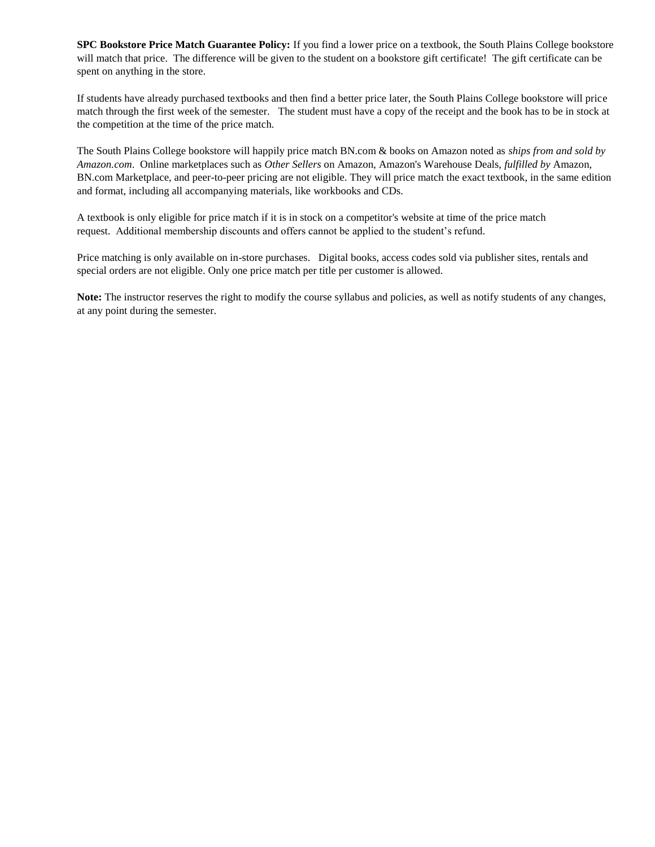**SPC Bookstore Price Match Guarantee Policy:** If you find a lower price on a textbook, the South Plains College bookstore will match that price. The difference will be given to the student on a bookstore gift certificate! The gift certificate can be spent on anything in the store.

If students have already purchased textbooks and then find a better price later, the South Plains College bookstore will price match through the first week of the semester. The student must have a copy of the receipt and the book has to be in stock at the competition at the time of the price match.

The South Plains College bookstore will happily price match BN.com & books on Amazon noted as *ships from and sold by Amazon.com*. Online marketplaces such as *Other Sellers* on Amazon, Amazon's Warehouse Deals, *fulfilled by* Amazon, BN.com Marketplace, and peer-to-peer pricing are not eligible. They will price match the exact textbook, in the same edition and format, including all accompanying materials, like workbooks and CDs.

A textbook is only eligible for price match if it is in stock on a competitor's website at time of the price match request. Additional membership discounts and offers cannot be applied to the student's refund.

Price matching is only available on in-store purchases. Digital books, access codes sold via publisher sites, rentals and special orders are not eligible. Only one price match per title per customer is allowed.

**Note:** The instructor reserves the right to modify the course syllabus and policies, as well as notify students of any changes, at any point during the semester.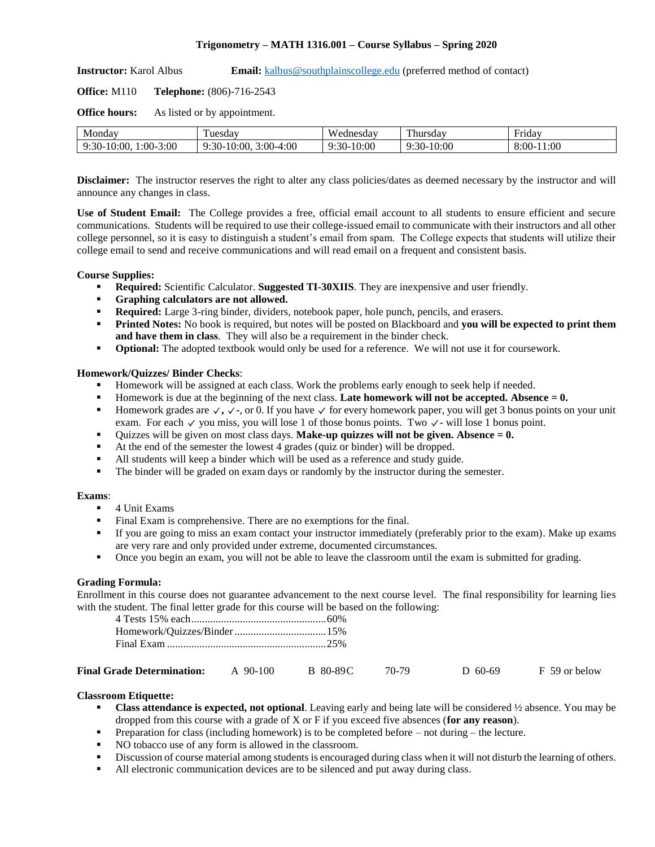## **Trigonometry – MATH 1316.001 – Course Syllabus – Spring 2020**

**Instructor:** Karol Albus **Email:** [kalbus@southplainscollege.edu](mailto:kalbus@southplainscollege.edu) (preferred method of contact)

**Office:** M110 **Telephone:** (806)-716-2543

**Office hours:** As listed or by appointment.

| Monday                            | uesday                                               | <b>XX</b><br>ednesdav | T11<br>hursday                              | Fridav                   |
|-----------------------------------|------------------------------------------------------|-----------------------|---------------------------------------------|--------------------------|
| 3:00<br>:30<br>2:00.<br>:00-<br>. | 4:00<br>$-10:00$<br>$2:00-4.$<br>$:30-$<br>$\cdot$ . | 10:00<br>$:30-$       | 10:00<br>$\Omega$<br>.<br>. <i>.</i> -<br>. | :00<br>$5:00^{-7}$<br>-4 |

**Disclaimer:** The instructor reserves the right to alter any class policies/dates as deemed necessary by the instructor and will announce any changes in class.

**Use of Student Email:** The College provides a free, official email account to all students to ensure efficient and secure communications. Students will be required to use their college-issued email to communicate with their instructors and all other college personnel, so it is easy to distinguish a student's email from spam. The College expects that students will utilize their college email to send and receive communications and will read email on a frequent and consistent basis.

## **Course Supplies:**

- **Required:** Scientific Calculator. **Suggested TI-30XIIS**. They are inexpensive and user friendly.
- **Graphing calculators are not allowed.**
- **Required:** Large 3-ring binder, dividers, notebook paper, hole punch, pencils, and erasers.
- **Printed Notes:** No book is required, but notes will be posted on Blackboard and **you will be expected to print them and have them in class**. They will also be a requirement in the binder check.
- **Optional:** The adopted textbook would only be used for a reference. We will not use it for coursework.

## **Homework/Quizzes/ Binder Checks**:

- Homework will be assigned at each class. Work the problems early enough to seek help if needed.
- Homework is due at the beginning of the next class. **Late homework will not be accepted. Absence = 0.**
- **Exercise1 Homework grades are**  $\checkmark$ **,**  $\checkmark$ **, or 0. If you have**  $\checkmark$  **for every homework paper, you will get 3 bonus points on your unit** exam.For each  $\checkmark$  you miss, you will lose 1 of those bonus points. Two  $\checkmark$ - will lose 1 bonus point.
- Quizzes will be given on most class days. **Make-up quizzes will not be given. Absence = 0.**
- At the end of the semester the lowest 4 grades (quiz or binder) will be dropped.
- All students will keep a binder which will be used as a reference and study guide.
- **•** The binder will be graded on exam days or randomly by the instructor during the semester.

### **Exams**:

- 4 Unit Exams
- Final Exam is comprehensive. There are no exemptions for the final.
- If you are going to miss an exam contact your instructor immediately (preferably prior to the exam). Make up exams are very rare and only provided under extreme, documented circumstances.
- Once you begin an exam, you will not be able to leave the classroom until the exam is submitted for grading.

## **Grading Formula:**

Enrollment in this course does not guarantee advancement to the next course level. The final responsibility for learning lies with the student. The final letter grade for this course will be based on the following:

| <b>Final Grade Determination:</b> | $90-100$ | B 80-89C | 70-79 | $D$ 60-69 | F 59 or below |
|-----------------------------------|----------|----------|-------|-----------|---------------|
|-----------------------------------|----------|----------|-------|-----------|---------------|

## **Classroom Etiquette:**

- **Class attendance is expected, not optional**. Leaving early and being late will be considered  $\frac{1}{2}$  absence. You may be dropped from this course with a grade of X or F if you exceed five absences (**for any reason**).
- **•** Preparation for class (including homework) is to be completed before  $-$  not during  $-$  the lecture.
- NO tobacco use of any form is allowed in the classroom.
- Discussion of course material among students is encouraged during class when it will not disturb the learning of others.
- All electronic communication devices are to be silenced and put away during class.